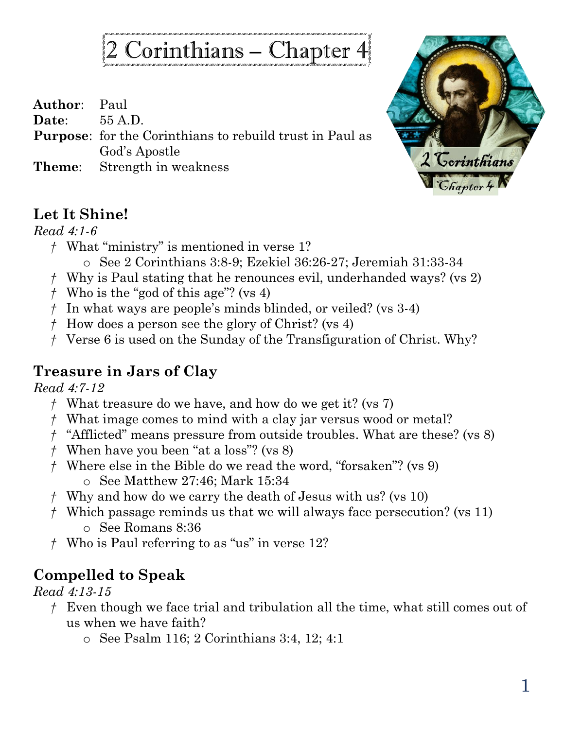# 2 Corinthians – Chapter 4

**Author**: Paul

**Date**: 55 A.D.

- **Purpose**: for the Corinthians to rebuild trust in Paul as God's Apostle
- **Theme**: Strength in weakness



#### **Let It Shine!**

#### *Read 4:1-6*

- *†* What "ministry" is mentioned in verse 1?
	- o See 2 Corinthians 3:8-9; Ezekiel 36:26-27; Jeremiah 31:33-34
- *†* Why is Paul stating that he renounces evil, underhanded ways? (vs 2)
- *†* Who is the "god of this age"? (vs 4)
- *†* In what ways are people's minds blinded, or veiled? (vs 3-4)
- *†* How does a person see the glory of Christ? (vs 4)
- *†* Verse 6 is used on the Sunday of the Transfiguration of Christ. Why?

### **Treasure in Jars of Clay**

*Read 4:7-12*

- *†* What treasure do we have, and how do we get it? (vs 7)
- *†* What image comes to mind with a clay jar versus wood or metal?
- *†* "Afflicted" means pressure from outside troubles. What are these? (vs 8)
- *†* When have you been "at a loss"? (vs 8)
- *†* Where else in the Bible do we read the word, "forsaken"? (vs 9) o See Matthew 27:46; Mark 15:34
- *†* Why and how do we carry the death of Jesus with us? (vs 10)
- *†* Which passage reminds us that we will always face persecution? (vs 11) o See Romans 8:36
- *†* Who is Paul referring to as "us" in verse 12?

## **Compelled to Speak**

#### *Read 4:13-15*

- *†* Even though we face trial and tribulation all the time, what still comes out of us when we have faith?
	- o See Psalm 116; 2 Corinthians 3:4, 12; 4:1